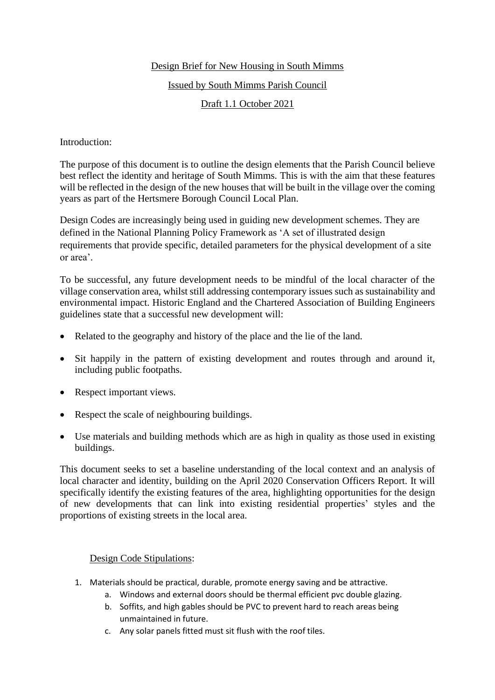# Design Brief for New Housing in South Mimms

#### Issued by South Mimms Parish Council

# Draft 1.1 October 2021

### Introduction:

The purpose of this document is to outline the design elements that the Parish Council believe best reflect the identity and heritage of South Mimms. This is with the aim that these features will be reflected in the design of the new houses that will be built in the village over the coming years as part of the Hertsmere Borough Council Local Plan.

Design Codes are increasingly being used in guiding new development schemes. They are defined in the National Planning Policy Framework as 'A set of illustrated design requirements that provide specific, detailed parameters for the physical development of a site or area'.

To be successful, any future development needs to be mindful of the local character of the village conservation area, whilst still addressing contemporary issues such as sustainability and environmental impact. Historic England and the Chartered Association of Building Engineers guidelines state that a successful new development will:

- Related to the geography and history of the place and the lie of the land.
- Sit happily in the pattern of existing development and routes through and around it, including public footpaths.
- Respect important views.
- Respect the scale of neighbouring buildings.
- Use materials and building methods which are as high in quality as those used in existing buildings.

This document seeks to set a baseline understanding of the local context and an analysis of local character and identity, building on the April 2020 Conservation Officers Report. It will specifically identify the existing features of the area, highlighting opportunities for the design of new developments that can link into existing residential properties' styles and the proportions of existing streets in the local area.

#### Design Code Stipulations:

- 1. Materials should be practical, durable, promote energy saving and be attractive.
	- a. Windows and external doors should be thermal efficient pvc double glazing.
	- b. Soffits, and high gables should be PVC to prevent hard to reach areas being unmaintained in future.
	- c. Any solar panels fitted must sit flush with the roof tiles.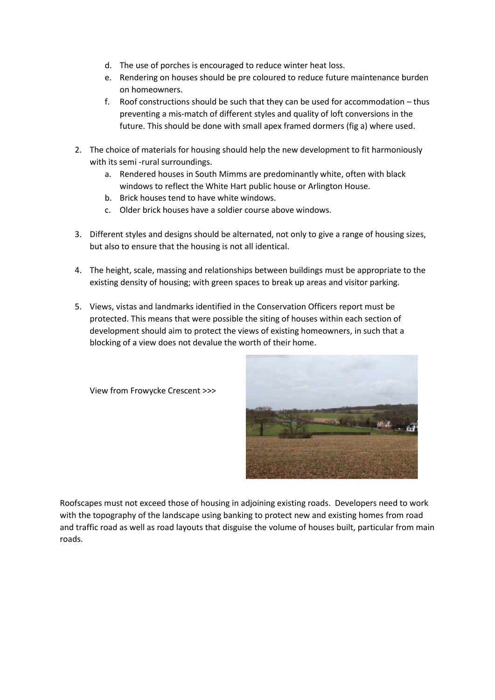- d. The use of porches is encouraged to reduce winter heat loss.
- e. Rendering on houses should be pre coloured to reduce future maintenance burden on homeowners.
- f. Roof constructions should be such that they can be used for accommodation thus preventing a mis-match of different styles and quality of loft conversions in the future. This should be done with small apex framed dormers (fig a) where used.
- 2. The choice of materials for housing should help the new development to fit harmoniously with its semi -rural surroundings.
	- a. Rendered houses in South Mimms are predominantly white, often with black windows to reflect the White Hart public house or Arlington House.
	- b. Brick houses tend to have white windows.
	- c. Older brick houses have a soldier course above windows.
- 3. Different styles and designs should be alternated, not only to give a range of housing sizes, but also to ensure that the housing is not all identical.
- 4. The height, scale, massing and relationships between buildings must be appropriate to the existing density of housing; with green spaces to break up areas and visitor parking.
- 5. Views, vistas and landmarks identified in the Conservation Officers report must be protected. This means that were possible the siting of houses within each section of development should aim to protect the views of existing homeowners, in such that a blocking of a view does not devalue the worth of their home.



View from Frowycke Crescent >>>

Roofscapes must not exceed those of housing in adjoining existing roads. Developers need to work with the topography of the landscape using banking to protect new and existing homes from road and traffic road as well as road layouts that disguise the volume of houses built, particular from main roads.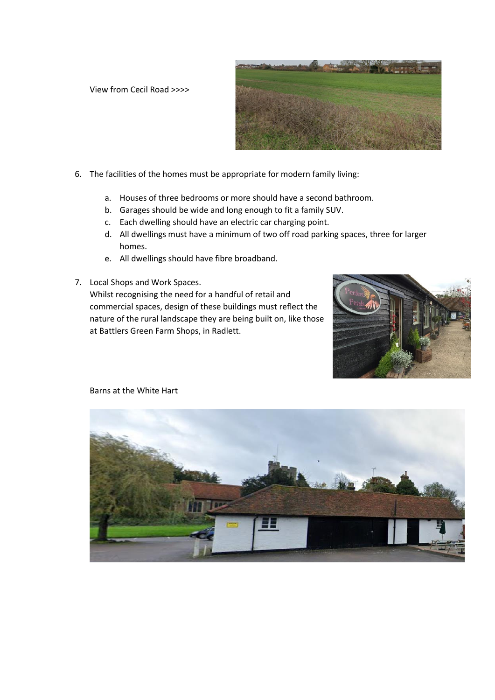View from Cecil Road >>>>



- 6. The facilities of the homes must be appropriate for modern family living:
	- a. Houses of three bedrooms or more should have a second bathroom.
	- b. Garages should be wide and long enough to fit a family SUV.
	- c. Each dwelling should have an electric car charging point.
	- d. All dwellings must have a minimum of two off road parking spaces, three for larger homes.
	- e. All dwellings should have fibre broadband.
- 7. Local Shops and Work Spaces.

Whilst recognising the need for a handful of retail and commercial spaces, design of these buildings must reflect the nature of the rural landscape they are being built on, like those at Battlers Green Farm Shops, in Radlett.





Barns at the White Hart